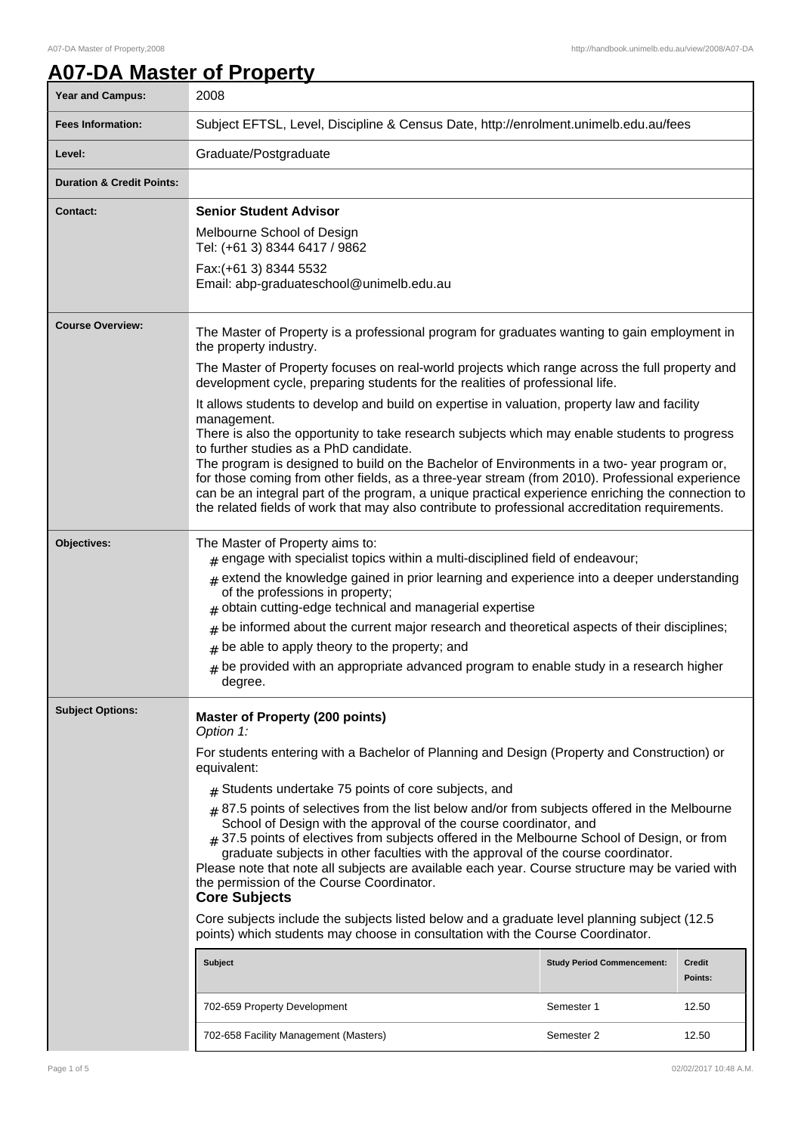٦

# **A07-DA Master of Property**

| <b>Year and Campus:</b>              | 2008                                                                                                                                                                                                                                                                                                                                                                                                                                                                                                                             |                                   |                          |
|--------------------------------------|----------------------------------------------------------------------------------------------------------------------------------------------------------------------------------------------------------------------------------------------------------------------------------------------------------------------------------------------------------------------------------------------------------------------------------------------------------------------------------------------------------------------------------|-----------------------------------|--------------------------|
| <b>Fees Information:</b>             | Subject EFTSL, Level, Discipline & Census Date, http://enrolment.unimelb.edu.au/fees                                                                                                                                                                                                                                                                                                                                                                                                                                             |                                   |                          |
| Level:                               | Graduate/Postgraduate                                                                                                                                                                                                                                                                                                                                                                                                                                                                                                            |                                   |                          |
| <b>Duration &amp; Credit Points:</b> |                                                                                                                                                                                                                                                                                                                                                                                                                                                                                                                                  |                                   |                          |
| <b>Contact:</b>                      | <b>Senior Student Advisor</b>                                                                                                                                                                                                                                                                                                                                                                                                                                                                                                    |                                   |                          |
|                                      | Melbourne School of Design<br>Tel: (+61 3) 8344 6417 / 9862                                                                                                                                                                                                                                                                                                                                                                                                                                                                      |                                   |                          |
|                                      | Fax: (+61 3) 8344 5532<br>Email: abp-graduateschool@unimelb.edu.au                                                                                                                                                                                                                                                                                                                                                                                                                                                               |                                   |                          |
| <b>Course Overview:</b>              | The Master of Property is a professional program for graduates wanting to gain employment in<br>the property industry.                                                                                                                                                                                                                                                                                                                                                                                                           |                                   |                          |
|                                      | The Master of Property focuses on real-world projects which range across the full property and<br>development cycle, preparing students for the realities of professional life.                                                                                                                                                                                                                                                                                                                                                  |                                   |                          |
|                                      | It allows students to develop and build on expertise in valuation, property law and facility<br>management.                                                                                                                                                                                                                                                                                                                                                                                                                      |                                   |                          |
|                                      | There is also the opportunity to take research subjects which may enable students to progress<br>to further studies as a PhD candidate.                                                                                                                                                                                                                                                                                                                                                                                          |                                   |                          |
|                                      | The program is designed to build on the Bachelor of Environments in a two-year program or,<br>for those coming from other fields, as a three-year stream (from 2010). Professional experience                                                                                                                                                                                                                                                                                                                                    |                                   |                          |
|                                      | can be an integral part of the program, a unique practical experience enriching the connection to<br>the related fields of work that may also contribute to professional accreditation requirements.                                                                                                                                                                                                                                                                                                                             |                                   |                          |
| Objectives:                          | The Master of Property aims to:<br>$#$ engage with specialist topics within a multi-disciplined field of endeavour;                                                                                                                                                                                                                                                                                                                                                                                                              |                                   |                          |
|                                      | $*$ extend the knowledge gained in prior learning and experience into a deeper understanding<br>of the professions in property;<br>obtain cutting-edge technical and managerial expertise<br>#                                                                                                                                                                                                                                                                                                                                   |                                   |                          |
|                                      | be informed about the current major research and theoretical aspects of their disciplines;<br>#                                                                                                                                                                                                                                                                                                                                                                                                                                  |                                   |                          |
|                                      | be able to apply theory to the property; and<br>#                                                                                                                                                                                                                                                                                                                                                                                                                                                                                |                                   |                          |
|                                      | be provided with an appropriate advanced program to enable study in a research higher<br>#<br>degree.                                                                                                                                                                                                                                                                                                                                                                                                                            |                                   |                          |
| <b>Subject Options:</b>              | <b>Master of Property (200 points)</b><br>Option 1:                                                                                                                                                                                                                                                                                                                                                                                                                                                                              |                                   |                          |
|                                      | For students entering with a Bachelor of Planning and Design (Property and Construction) or<br>equivalent:                                                                                                                                                                                                                                                                                                                                                                                                                       |                                   |                          |
|                                      | $#$ Students undertake 75 points of core subjects, and                                                                                                                                                                                                                                                                                                                                                                                                                                                                           |                                   |                          |
|                                      | $#$ 87.5 points of selectives from the list below and/or from subjects offered in the Melbourne<br>School of Design with the approval of the course coordinator, and<br># 37.5 points of electives from subjects offered in the Melbourne School of Design, or from<br>graduate subjects in other faculties with the approval of the course coordinator.<br>Please note that note all subjects are available each year. Course structure may be varied with<br>the permission of the Course Coordinator.<br><b>Core Subjects</b> |                                   |                          |
|                                      | Core subjects include the subjects listed below and a graduate level planning subject (12.5)<br>points) which students may choose in consultation with the Course Coordinator.                                                                                                                                                                                                                                                                                                                                                   |                                   |                          |
|                                      | <b>Subject</b>                                                                                                                                                                                                                                                                                                                                                                                                                                                                                                                   | <b>Study Period Commencement:</b> | <b>Credit</b><br>Points: |
|                                      | 702-659 Property Development                                                                                                                                                                                                                                                                                                                                                                                                                                                                                                     | Semester 1                        | 12.50                    |
|                                      | 702-658 Facility Management (Masters)                                                                                                                                                                                                                                                                                                                                                                                                                                                                                            | Semester 2                        | 12.50                    |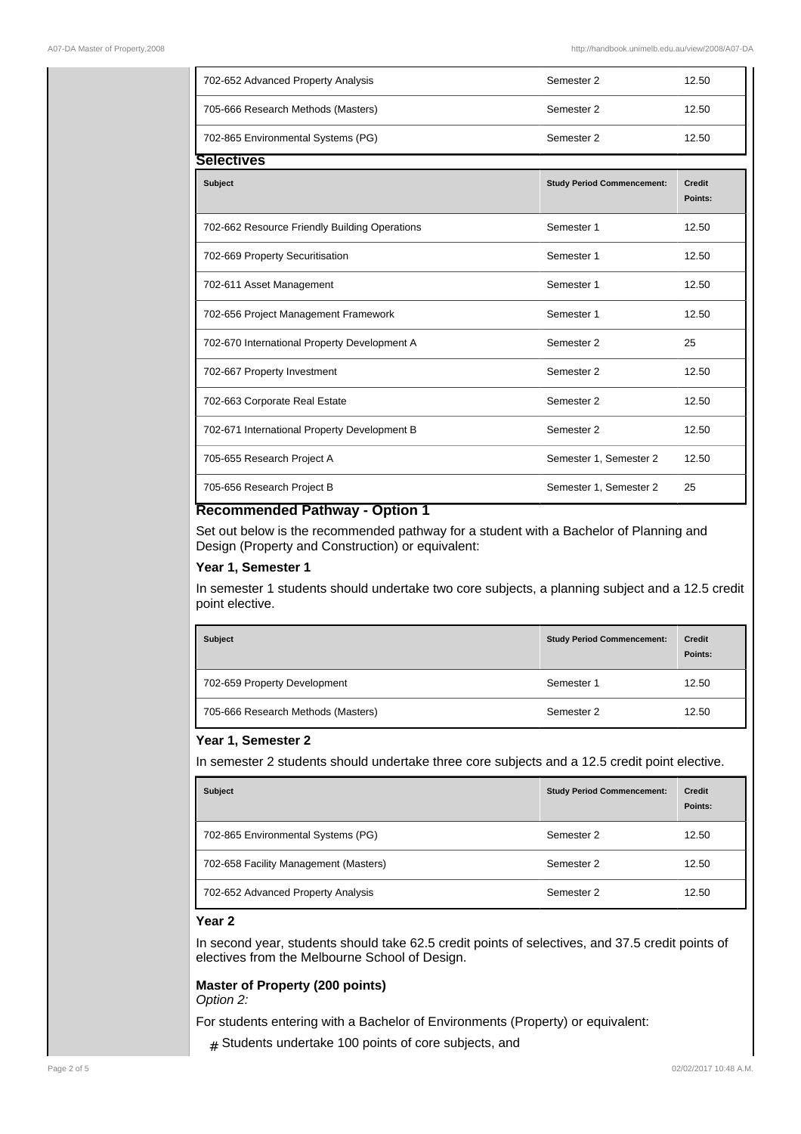| 702-652 Advanced Property Analysis            | Semester 2                        | 12.50                    |
|-----------------------------------------------|-----------------------------------|--------------------------|
| 705-666 Research Methods (Masters)            | Semester 2                        | 12.50                    |
| 702-865 Environmental Systems (PG)            | Semester 2                        | 12.50                    |
| <b>Selectives</b>                             |                                   |                          |
| Subject                                       | <b>Study Period Commencement:</b> | <b>Credit</b><br>Points: |
| 702-662 Resource Friendly Building Operations | Semester 1                        | 12.50                    |
| 702-669 Property Securitisation               | Semester 1                        | 12.50                    |
| 702-611 Asset Management                      | Semester 1                        | 12.50                    |
| 702-656 Project Management Framework          | Semester 1                        | 12.50                    |
| 702-670 International Property Development A  | Semester 2                        | 25                       |
| 702-667 Property Investment                   | Semester 2                        | 12.50                    |
| 702-663 Corporate Real Estate                 | Semester 2                        | 12.50                    |
| 702-671 International Property Development B  | Semester 2                        | 12.50                    |
| 705-655 Research Project A                    | Semester 1, Semester 2            | 12.50                    |
| 705-656 Research Project B                    | Semester 1, Semester 2            | 25                       |

#### **Recommended Pathway - Option 1**

Set out below is the recommended pathway for a student with a Bachelor of Planning and Design (Property and Construction) or equivalent:

#### **Year 1, Semester 1**

In semester 1 students should undertake two core subjects, a planning subject and a 12.5 credit point elective.

| <b>Subject</b>                     | <b>Study Period Commencement:</b> | <b>Credit</b><br>Points: |
|------------------------------------|-----------------------------------|--------------------------|
| 702-659 Property Development       | Semester 1                        | 12.50                    |
| 705-666 Research Methods (Masters) | Semester 2                        | 12.50                    |

#### **Year 1, Semester 2**

In semester 2 students should undertake three core subjects and a 12.5 credit point elective.

| <b>Subject</b>                        | <b>Study Period Commencement:</b> | <b>Credit</b><br>Points: |
|---------------------------------------|-----------------------------------|--------------------------|
| 702-865 Environmental Systems (PG)    | Semester 2                        | 12.50                    |
| 702-658 Facility Management (Masters) | Semester 2                        | 12.50                    |
| 702-652 Advanced Property Analysis    | Semester 2                        | 12.50                    |

## **Year 2**

In second year, students should take 62.5 credit points of selectives, and 37.5 credit points of electives from the Melbourne School of Design.

#### **Master of Property (200 points)** Option 2:

For students entering with a Bachelor of Environments (Property) or equivalent:

 $#$  Students undertake 100 points of core subjects, and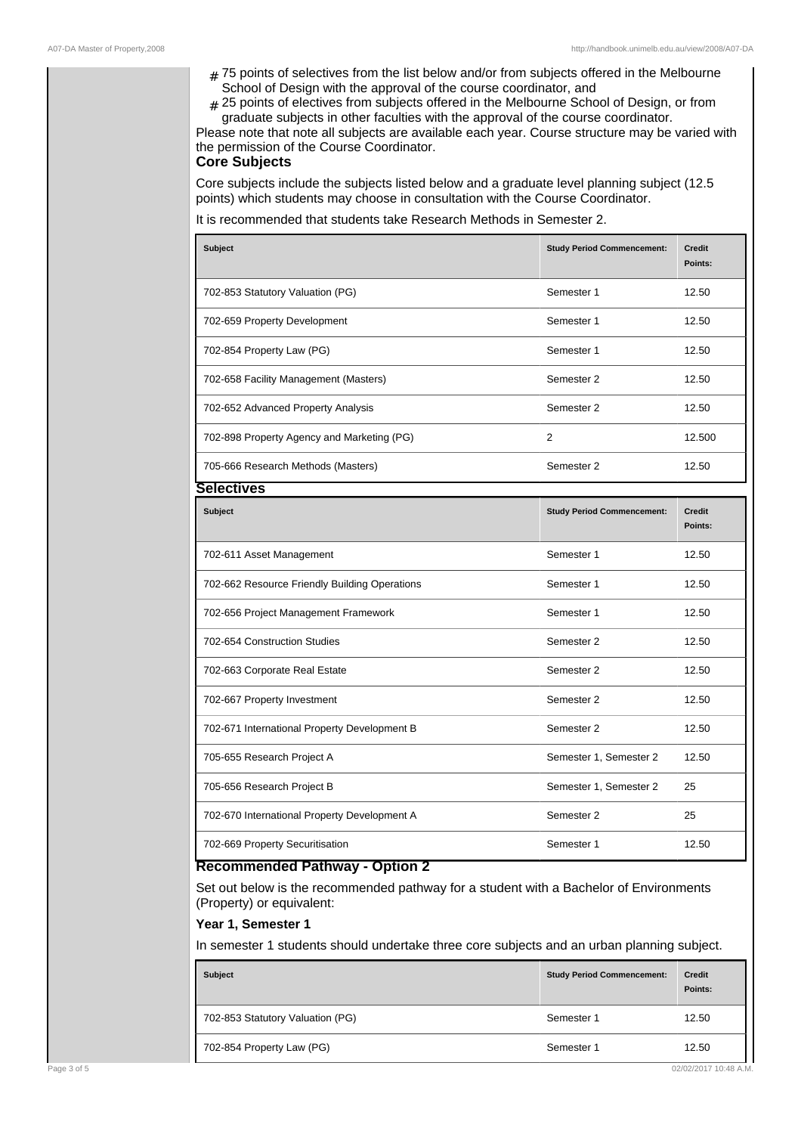- # 75 points of selectives from the list below and/or from subjects offered in the Melbourne School of Design with the approval of the course coordinator, and
- ${}_{\#}$  25 points of electives from subjects offered in the Melbourne School of Design, or from graduate subjects in other faculties with the approval of the course coordinator.

Please note that note all subjects are available each year. Course structure may be varied with the permission of the Course Coordinator.

### **Core Subjects**

Core subjects include the subjects listed below and a graduate level planning subject (12.5 points) which students may choose in consultation with the Course Coordinator.

#### It is recommended that students take Research Methods in Semester 2.

| <b>Subject</b>                                | <b>Study Period Commencement:</b> | <b>Credit</b><br>Points: |
|-----------------------------------------------|-----------------------------------|--------------------------|
| 702-853 Statutory Valuation (PG)              | Semester 1                        | 12.50                    |
| 702-659 Property Development                  | Semester 1                        | 12.50                    |
| 702-854 Property Law (PG)                     | Semester 1                        | 12.50                    |
| 702-658 Facility Management (Masters)         | Semester 2                        | 12.50                    |
| 702-652 Advanced Property Analysis            | Semester 2                        | 12.50                    |
| 702-898 Property Agency and Marketing (PG)    | 2                                 | 12.500                   |
| 705-666 Research Methods (Masters)            | Semester 2                        | 12.50                    |
| Selectives                                    |                                   |                          |
| <b>Subject</b>                                | <b>Study Period Commencement:</b> | <b>Credit</b><br>Points: |
| 702-611 Asset Management                      | Semester 1                        | 12.50                    |
| 702-662 Resource Friendly Building Operations | Semester 1                        | 12.50                    |
| 702-656 Project Management Framework          | Semester 1                        | 12.50                    |
| 702-654 Construction Studies                  | Semester 2                        | 12.50                    |
| 702-663 Corporate Real Estate                 | Semester 2                        | 12.50                    |
| 702-667 Property Investment                   | Semester 2                        | 12.50                    |
| 702-671 International Property Development B  | Semester 2                        | 12.50                    |
| 705-655 Research Project A                    | Semester 1, Semester 2            | 12.50                    |
| 705-656 Research Project B                    | Semester 1, Semester 2            | 25                       |
| 702-670 International Property Development A  | Semester 2                        | 25                       |
| 702-669 Property Securitisation               | Semester 1                        | 12.50                    |

# **Recommended Pathway - Option 2**

Set out below is the recommended pathway for a student with a Bachelor of Environments (Property) or equivalent:

#### **Year 1, Semester 1**

In semester 1 students should undertake three core subjects and an urban planning subject.

| <b>Subject</b>                   | <b>Study Period Commencement:</b> | <b>Credit</b><br>Points: |
|----------------------------------|-----------------------------------|--------------------------|
| 702-853 Statutory Valuation (PG) | Semester 1                        | 12.50                    |
| 702-854 Property Law (PG)        | Semester 1                        | 12.50                    |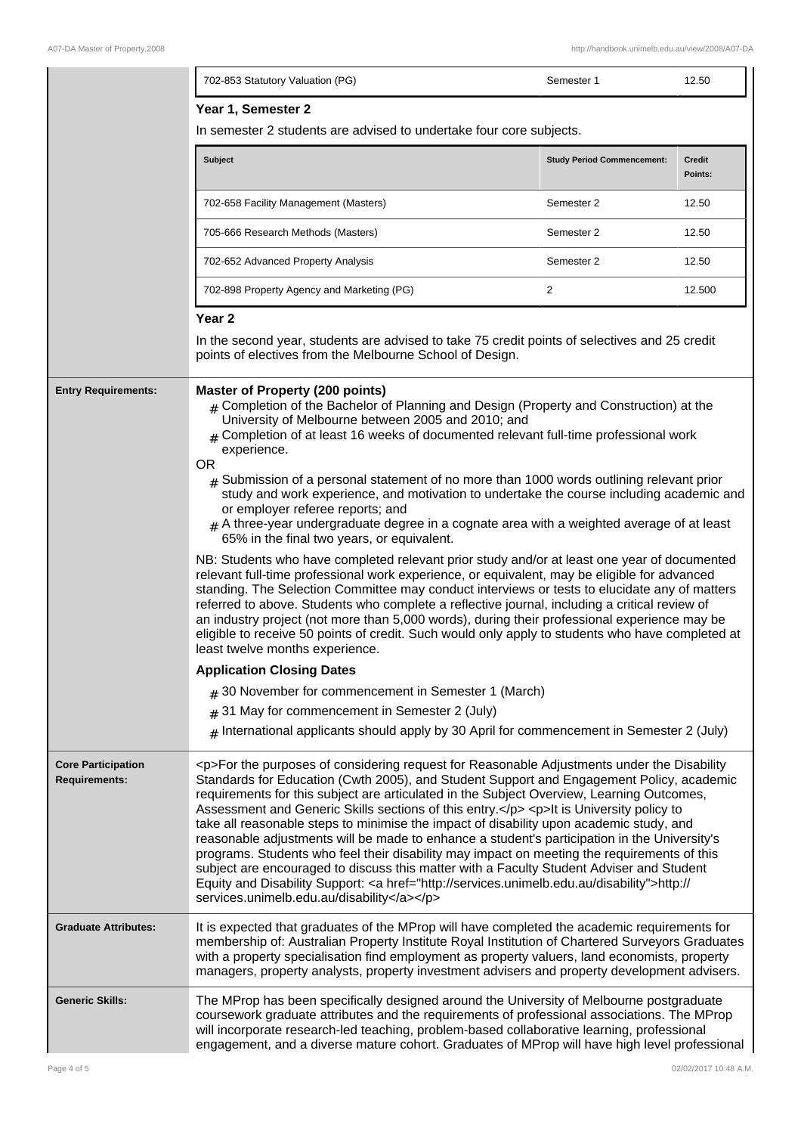|                                                   | 702-853 Statutory Valuation (PG)                                                                                                                                                                                                                                                                                                                                                                                                                                                                                                                                                                                                                                                                                                                                                                                                                                                                                             | Semester 1                        | 12.50                    |
|---------------------------------------------------|------------------------------------------------------------------------------------------------------------------------------------------------------------------------------------------------------------------------------------------------------------------------------------------------------------------------------------------------------------------------------------------------------------------------------------------------------------------------------------------------------------------------------------------------------------------------------------------------------------------------------------------------------------------------------------------------------------------------------------------------------------------------------------------------------------------------------------------------------------------------------------------------------------------------------|-----------------------------------|--------------------------|
|                                                   | Year 1, Semester 2<br>In semester 2 students are advised to undertake four core subjects.                                                                                                                                                                                                                                                                                                                                                                                                                                                                                                                                                                                                                                                                                                                                                                                                                                    |                                   |                          |
|                                                   | <b>Subject</b>                                                                                                                                                                                                                                                                                                                                                                                                                                                                                                                                                                                                                                                                                                                                                                                                                                                                                                               | <b>Study Period Commencement:</b> | <b>Credit</b><br>Points: |
|                                                   | 702-658 Facility Management (Masters)                                                                                                                                                                                                                                                                                                                                                                                                                                                                                                                                                                                                                                                                                                                                                                                                                                                                                        | Semester 2                        | 12.50                    |
|                                                   | 705-666 Research Methods (Masters)                                                                                                                                                                                                                                                                                                                                                                                                                                                                                                                                                                                                                                                                                                                                                                                                                                                                                           | Semester 2                        | 12.50                    |
|                                                   | 702-652 Advanced Property Analysis                                                                                                                                                                                                                                                                                                                                                                                                                                                                                                                                                                                                                                                                                                                                                                                                                                                                                           | Semester 2                        | 12.50                    |
|                                                   | 702-898 Property Agency and Marketing (PG)                                                                                                                                                                                                                                                                                                                                                                                                                                                                                                                                                                                                                                                                                                                                                                                                                                                                                   | $\overline{2}$                    | 12.500                   |
|                                                   | Year <sub>2</sub><br>In the second year, students are advised to take 75 credit points of selectives and 25 credit<br>points of electives from the Melbourne School of Design.                                                                                                                                                                                                                                                                                                                                                                                                                                                                                                                                                                                                                                                                                                                                               |                                   |                          |
| <b>Entry Requirements:</b>                        | <b>Master of Property (200 points)</b><br>$#$ Completion of the Bachelor of Planning and Design (Property and Construction) at the<br>University of Melbourne between 2005 and 2010; and<br>$_{\rm \#}$ Completion of at least 16 weeks of documented relevant full-time professional work<br>experience.<br><b>OR</b><br>$#$ Submission of a personal statement of no more than 1000 words outlining relevant prior<br>study and work experience, and motivation to undertake the course including academic and<br>or employer referee reports; and<br>$#$ A three-year undergraduate degree in a cognate area with a weighted average of at least<br>65% in the final two years, or equivalent.                                                                                                                                                                                                                            |                                   |                          |
|                                                   | NB: Students who have completed relevant prior study and/or at least one year of documented<br>relevant full-time professional work experience, or equivalent, may be eligible for advanced<br>standing. The Selection Committee may conduct interviews or tests to elucidate any of matters<br>referred to above. Students who complete a reflective journal, including a critical review of<br>an industry project (not more than 5,000 words), during their professional experience may be<br>eligible to receive 50 points of credit. Such would only apply to students who have completed at<br>least twelve months experience.                                                                                                                                                                                                                                                                                         |                                   |                          |
|                                                   | <b>Application Closing Dates</b>                                                                                                                                                                                                                                                                                                                                                                                                                                                                                                                                                                                                                                                                                                                                                                                                                                                                                             |                                   |                          |
|                                                   | # 30 November for commencement in Semester 1 (March)                                                                                                                                                                                                                                                                                                                                                                                                                                                                                                                                                                                                                                                                                                                                                                                                                                                                         |                                   |                          |
|                                                   | $#$ 31 May for commencement in Semester 2 (July)                                                                                                                                                                                                                                                                                                                                                                                                                                                                                                                                                                                                                                                                                                                                                                                                                                                                             |                                   |                          |
|                                                   | $#$ International applicants should apply by 30 April for commencement in Semester 2 (July)                                                                                                                                                                                                                                                                                                                                                                                                                                                                                                                                                                                                                                                                                                                                                                                                                                  |                                   |                          |
| <b>Core Participation</b><br><b>Requirements:</b> | <p>For the purposes of considering request for Reasonable Adjustments under the Disability<br/>Standards for Education (Cwth 2005), and Student Support and Engagement Policy, academic<br/>requirements for this subject are articulated in the Subject Overview, Learning Outcomes,<br/>Assessment and Generic Skills sections of this entry.</p> <p>lt is University policy to<br/>take all reasonable steps to minimise the impact of disability upon academic study, and<br/>reasonable adjustments will be made to enhance a student's participation in the University's<br/>programs. Students who feel their disability may impact on meeting the requirements of this<br/>subject are encouraged to discuss this matter with a Faculty Student Adviser and Student<br/>Equity and Disability Support: &lt; a href="http://services.unimelb.edu.au/disability"&gt;http://<br/>services.unimelb.edu.au/disability</p> |                                   |                          |
| <b>Graduate Attributes:</b>                       | It is expected that graduates of the MProp will have completed the academic requirements for<br>membership of: Australian Property Institute Royal Institution of Chartered Surveyors Graduates<br>with a property specialisation find employment as property valuers, land economists, property<br>managers, property analysts, property investment advisers and property development advisers.                                                                                                                                                                                                                                                                                                                                                                                                                                                                                                                             |                                   |                          |
| <b>Generic Skills:</b>                            | The MProp has been specifically designed around the University of Melbourne postgraduate<br>coursework graduate attributes and the requirements of professional associations. The MProp<br>will incorporate research-led teaching, problem-based collaborative learning, professional<br>engagement, and a diverse mature cohort. Graduates of MProp will have high level professional                                                                                                                                                                                                                                                                                                                                                                                                                                                                                                                                       |                                   |                          |